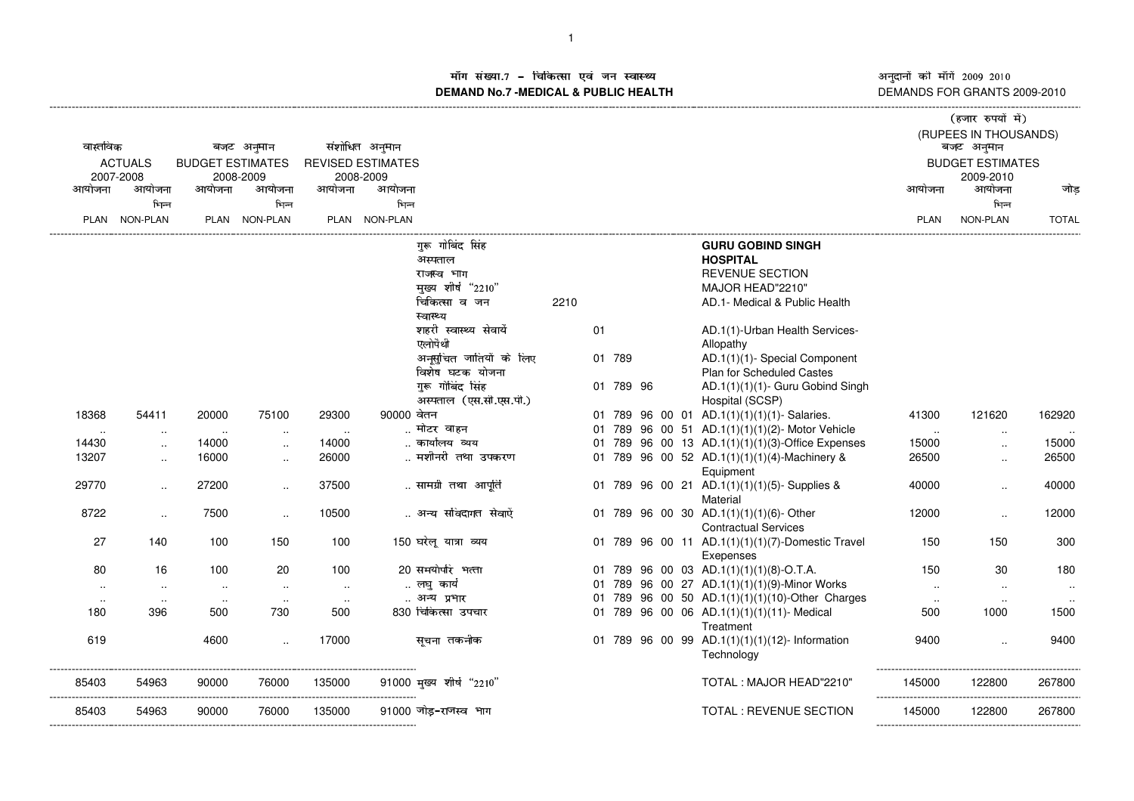अनुदानों की माँगें 2009–2010<br>DEMANDS FOR GRANTS 2009-2010

## ाँग संख्या.7 – चिकित्सा एवं जन स्वास्थ्य स्थान कर संस्था पर संस्था आर्यो अ ---------------------------------------------------------------------------------------------------------------------------------------------------------------------------------------------------------------------------------------------------------------------------- (------------------- )\*+,-./+010132- माँग सख्या.7 – चिकित्सा एव जन स्वास्थ्य<br>DEMAND No.7 -MEDICAL & PUBLIC HEALTH

|                |                      |        |                         |               |                          |                            |      |    |           |  |  |  | (हजार रुपया म)                                   |               |                         |              |
|----------------|----------------------|--------|-------------------------|---------------|--------------------------|----------------------------|------|----|-----------|--|--|--|--------------------------------------------------|---------------|-------------------------|--------------|
| वास्तविक       |                      |        | बजट अनुमान              |               | संशोधित अनुमान           |                            |      |    |           |  |  |  |                                                  | बजट अनुमान    | (RUPEES IN THOUSANDS)   |              |
| <b>ACTUALS</b> |                      |        | <b>BUDGET ESTIMATES</b> |               | <b>REVISED ESTIMATES</b> |                            |      |    |           |  |  |  |                                                  |               | <b>BUDGET ESTIMATES</b> |              |
|                | 2007-2008            |        | 2008-2009               |               | 2008-2009                |                            |      |    |           |  |  |  |                                                  |               | 2009-2010               |              |
| आयोजना         | आयोजना               | आयोजना | आयोजना                  | आयोजना        | आयोजना                   |                            |      |    |           |  |  |  |                                                  | आयोजना        | आयोजना                  | जोड          |
|                | भिन्न                |        | भिन्न                   |               | भिन्न                    |                            |      |    |           |  |  |  |                                                  |               | भिन्न                   |              |
|                | PLAN NON-PLAN        |        | PLAN NON-PLAN           |               | PLAN NON-PLAN            |                            |      |    |           |  |  |  |                                                  | <b>PLAN</b>   | <b>NON-PLAN</b>         | <b>TOTAL</b> |
|                |                      |        |                         |               |                          |                            |      |    |           |  |  |  |                                                  |               |                         |              |
|                |                      |        |                         |               |                          | गरू गोबिंद सिंह            |      |    |           |  |  |  | <b>GURU GOBIND SINGH</b>                         |               |                         |              |
|                |                      |        |                         |               |                          | अस्पताल                    |      |    |           |  |  |  | <b>HOSPITAL</b>                                  |               |                         |              |
|                |                      |        |                         |               |                          | राजस्व भाग                 |      |    |           |  |  |  | <b>REVENUE SECTION</b>                           |               |                         |              |
|                |                      |        |                         |               |                          | मुख्य शीर्ष "2210"         |      |    |           |  |  |  | MAJOR HEAD"2210"                                 |               |                         |              |
|                |                      |        |                         |               |                          | चिकित्सा व जन              | 2210 |    |           |  |  |  | AD.1- Medical & Public Health                    |               |                         |              |
|                |                      |        |                         |               |                          | स्वास्थ्य                  |      |    |           |  |  |  |                                                  |               |                         |              |
|                |                      |        |                         |               |                          | शहरी स्वास्थ्य सेवायें     |      | 01 |           |  |  |  | AD.1(1)-Urban Health Services-                   |               |                         |              |
|                |                      |        |                         |               |                          | एलोपैथी                    |      |    |           |  |  |  | Allopathy                                        |               |                         |              |
|                |                      |        |                         |               |                          | अनूसुचित जातियों के लिए    |      |    | 01 789    |  |  |  | AD.1(1)(1)- Special Component                    |               |                         |              |
|                |                      |        |                         |               |                          | विशेष घटक योजना            |      |    |           |  |  |  | <b>Plan for Scheduled Castes</b>                 |               |                         |              |
|                |                      |        |                         |               |                          | गुरू गोबिंद सिंह           |      |    | 01 789 96 |  |  |  | AD.1(1)(1)(1)- Guru Gobind Singh                 |               |                         |              |
|                |                      |        |                         |               |                          | अस्पताल (एस.सी.एस.पी.)     |      |    |           |  |  |  | Hospital (SCSP)                                  |               |                         |              |
| 18368          | 54411                | 20000  | 75100                   | 29300         | 90000 वेतन               |                            |      |    |           |  |  |  | 01 789 96 00 01 AD.1(1)(1)(1)(1)- Salaries.      | 41300         | 121620                  | 162920       |
| $\sim$ $\sim$  | $\sim$               | $\sim$ | $\cdot$ .               | $\sim$ $\sim$ |                          | मोटर वाहन                  |      |    |           |  |  |  | 01 789 96 00 51 AD.1(1)(1)(1)(2)- Motor Vehicle  | $\sim$ $\sim$ | $\cdots$                |              |
| 14430          | $\ddotsc$            | 14000  | $\ldots$                | 14000         |                          | कार्यालय व्यय              |      |    |           |  |  |  | 01 789 96 00 13 AD.1(1)(1)(1)(3)-Office Expenses | 15000         | $\ddotsc$               | 15000        |
| 13207          | $\ddot{\phantom{a}}$ | 16000  | $\ldots$                | 26000         |                          | मशीनरी तथा उपकरण           |      |    |           |  |  |  | 01 789 96 00 52 AD.1(1)(1)(1)(4)-Machinery &     | 26500         | $\ldots$                | 26500        |
|                |                      |        |                         |               |                          |                            |      |    |           |  |  |  | Equipment                                        |               |                         |              |
| 29770          | $\ldots$             | 27200  | $\sim$                  | 37500         |                          | सामग्री तथा आपूति          |      |    |           |  |  |  | 01 789 96 00 21 AD.1(1)(1)(1)(5)-Supplies &      | 40000         | $\ddotsc$               | 40000        |
|                |                      |        |                         |               |                          |                            |      |    |           |  |  |  | Material                                         |               |                         |              |
| 8722           | $\sim$               | 7500   | $\sim$                  | 10500         |                          | अन्य संविदागत सेवाऐं       |      |    |           |  |  |  | 01 789 96 00 30 AD.1(1)(1)(1)(6)-Other           | 12000         | $\ddotsc$               | 12000        |
|                |                      |        |                         |               |                          |                            |      |    |           |  |  |  | <b>Contractual Services</b>                      |               |                         |              |
| 27             | 140                  | 100    | 150                     | 100           |                          | 150 घरेलू यात्रा व्यय      |      |    |           |  |  |  | 01 789 96 00 11 AD.1(1)(1)(1)(7)-Domestic Travel | 150           | 150                     | 300          |
|                |                      |        |                         |               |                          |                            |      |    |           |  |  |  | Exepenses                                        |               |                         |              |
| 80             | 16                   | 100    | 20                      | 100           |                          | 20 समयोपरि भत्ता           |      |    |           |  |  |  | 01 789 96 00 03 AD.1(1)(1)(1)(8)-O.T.A.          | 150           | 30                      | 180          |
| $\sim$         | $\cdot$ .            | $\sim$ | $\sim$                  | $\sim$        |                          | लघु कार्य                  |      |    |           |  |  |  | 01 789 96 00 27 AD.1(1)(1)(1)(9)-Minor Works     | $\ddotsc$     | $\sim$                  | $\cdot$ .    |
| $\sim$         | $\sim$               | $\sim$ | $\sim$                  | $\cdot$ .     |                          | अन्य प्रभार                |      |    |           |  |  |  | 01 789 96 00 50 AD.1(1)(1)(1)(10)-Other Charges  | $\sim$        | $\sim$                  |              |
| 180            | 396                  | 500    | 730                     | 500           |                          | 830 चिकित्सा उपचार         |      |    |           |  |  |  | 01 789 96 00 06 AD.1(1)(1)(1)(11)- Medical       | 500           | 1000                    | 1500         |
|                |                      |        |                         |               |                          |                            |      |    |           |  |  |  | Treatment                                        |               |                         |              |
| 619            |                      | 4600   | $\sim$                  | 17000         |                          | सूचना तकनीक                |      |    |           |  |  |  | 01 789 96 00 99 AD.1(1)(1)(1)(12)- Information   | 9400          | $\ddotsc$               | 9400         |
|                |                      |        |                         |               |                          |                            |      |    |           |  |  |  | Technology                                       |               |                         |              |
|                |                      |        |                         |               |                          |                            |      |    |           |  |  |  |                                                  |               |                         |              |
| 85403          | 54963                | 90000  | 76000                   | 135000        |                          | $91000$ मुख्य शीर्ष "2210" |      |    |           |  |  |  | TOTAL: MAJOR HEAD"2210"                          | 145000        | 122800                  | 267800       |
|                |                      |        |                         |               |                          |                            |      |    |           |  |  |  |                                                  |               |                         | -----------  |
| 85403          | 54963                | 90000  | 76000                   | 135000        |                          | 91000 जोड-राजस्व भाग       |      |    |           |  |  |  | TOTAL : REVENUE SECTION                          | 145000        | 122800                  | 267800       |
|                |                      |        |                         |               |                          |                            |      |    |           |  |  |  |                                                  |               |                         |              |